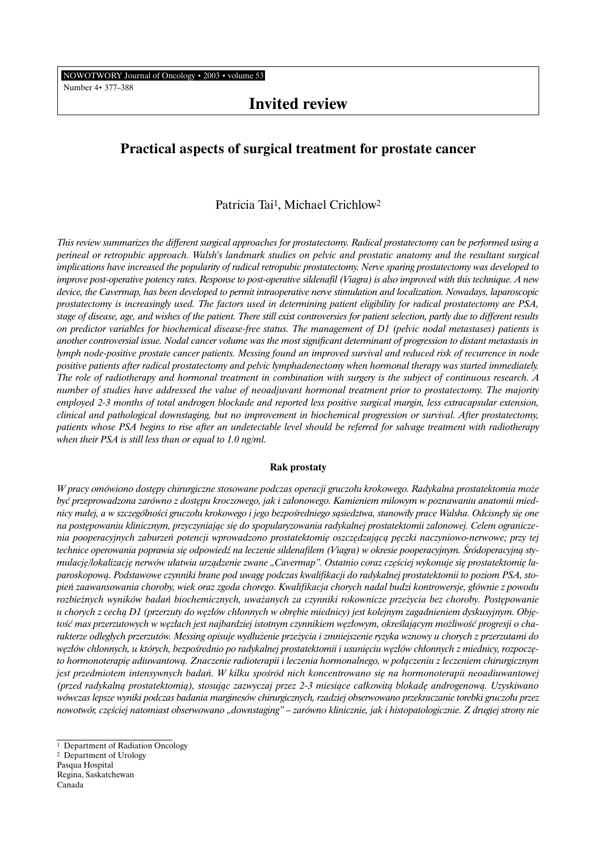NOWOTWORY Journal of Oncology • 2003 • volume 53

Number 4• 377–388

# **Invited review**

## **Practical aspects of surgical treatment for prostate cancer**

## Patricia Tai1, Michael Crichlow2

*This review summarizes the different surgical approaches for prostatectomy. Radical prostatectomy can be performed using a perineal or retropubic approach. Walsh's landmark studies on pelvic and prostatic anatomy and the resultant surgical implications have increased the popularity of radical retropubic prostatectomy. Nerve sparing prostatectomy was developed to improve post-operative potency rates. Response to post-operative sildenafil (Viagra) is also improved with this technique. A new device, the Cavermap, has been developed to permit intraoperative nerve stimulation and localization. Nowadays, laparoscopic prostatectomy is increasingly used. The factors used in determining patient eligibility for radical prostatectomy are PSA, stage of disease, age, and wishes of the patient. There still exist controversies for patient selection, partly due to different results on predictor variables for biochemical disease-free status. The management of D1 (pelvic nodal metastases) patients is another controversial issue. Nodal cancer volume was the most significant determinant of progression to distant metastasis in lymph node-positive prostate cancer patients. Messing found an improved survival and reduced risk of recurrence in node positive patients after radical prostatectomy and pelvic lymphadenectomy when hormonal therapy was started immediately. The role of radiotherapy and hormonal treatment in combination with surgery is the subject of continuous research. A number of studies have addressed the value of neoadjuvant hormonal treatment prior to prostatectomy. The majority employed 2-3 months of total androgen blockade and reported less positive surgical margin, less extracapsular extension, clinical and pathological downstaging, but no improvement in biochemical progression or survival. After prostatectomy, patients whose PSA begins to rise after an undetectable level should be referred for salvage treatment with radiotherapy when their PSA is still less than or equal to 1.0 ng/ml.*

## **Rak prostaty**

*W pracy omówiono dost´py chirurgiczne stosowane podczas operacji gruczo∏u krokowego. Radykalna prostatektomia mo˝e* być przeprowadzona zarówno z dostępu kroczowego, jak i załonowego. Kamieniem milowym w poznawaniu anatomii mied*nicy ma∏ej, a w szczególnoÊci gruczo∏u krokowego i jego bezpoÊredniego sàsiedztwa, stanowi∏y prace Walsha. Odcisn´∏y si´ one na post´powaniu klinicznym, przyczyniajàc si´ do spopularyzowania radykalnej prostatektomii za∏onowej. Celem ograniczenia pooperacyjnych zaburzeƒ potencji wprowadzono prostatektomi´ oszcz´dzajàcà p´czki naczyniowo-nerwowe; przy tej* technice operowania poprawia sie odpowiedź na leczenie sildenafilem (Viagra) w okresie pooperacyjnym. Śródoperacyjna sty*mulację/lokalizację nerwów ułatwia urządzenie zwane "Cavermap". Ostatnio coraz częściej wykonuje się prostatektomię la*paroskopową. Podstawowe czynniki brane pod uwagę podczas kwalifikacji do radykalnej prostatektomii to poziom PSA, sto*pieƒ zaawansowania choroby, wiek oraz zgoda chorego. Kwalifikacja chorych nadal budzi kontrowersje, g∏ównie z powodu* rozbieżnych wyników badań biochemicznych, uważanych za czynniki rokownicze przeżycia bez choroby. Postępowanie *u chorych z cechą D1 (przerzuty do węzłów chłonnych w obrębie miednicy) jest kolejnym zagadnieniem dyskusyjnym. Obję*tość mas przerzutowych w węzłach jest najbardziej istotnym czynnikiem węzłowym, określającym możliwość progresji o cha*rakterze odleg∏ych przerzutów. Messing opisuje wyd∏u˝enie prze˝ycia i zmniejszenie ryzyka wznowy u chorych z przerzutami do* węzłów chłonnych, u których, bezpośrednio po radykalnej prostatektomii i usunięciu węzłów chłonnych z miednicy, rozpoczę*to hormonoterapi´ adiuwantowà. Znaczenie radioterapii i leczenia hormonalnego, w po∏àczeniu z leczeniem chirurgicznym* jest przedmiotem intensywnych badań. W kilku spośród nich koncentrowano się na hormonoterapii neoadiuwantowej *(przed radykalnà prostatektomià), stosujàc zazwyczaj przez 2-3 miesiàce ca∏kowità blokad´ androgenowà. Uzyskiwano wówczas lepsze wyniki podczas badania marginesów chirurgicznych, rzadziej obserwowano przekraczanie torebki gruczo∏u przez nowotwór, cz´Êciej natomiast obserwowano "downstaging" – zarówno klinicznie, jak i histopatologicznie. Z drugiej strony nie*

<sup>&</sup>lt;sup>1</sup> Department of Radiation Oncology

<sup>2</sup> Department of Urology

Pasqua Hospital

Regina, Saskatchewan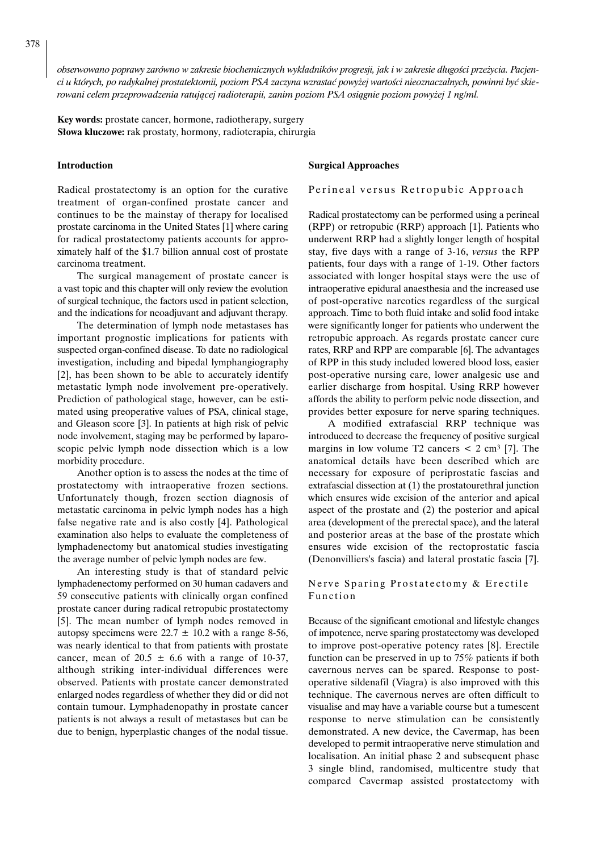*obserwowano poprawy zarówno w zakresie biochemicznych wyk∏adników progresji, jak i w zakresie d∏ugoÊci prze˝ycia. Pacjen*ci u których, po radykalnej prostatektomii, poziom PSA zaczyna wzrastać powyżej wartości nieoznaczalnych, powinni być skierowani celem przeprowadzenia ratującej radioterapii, zanim poziom PSA osiągnie poziom powyżej 1 ng/ml.

**Key words:** prostate cancer, hormone, radiotherapy, surgery **S∏owa kluczowe:** rak prostaty, hormony, radioterapia, chirurgia

## **Introduction**

Radical prostatectomy is an option for the curative treatment of organ-confined prostate cancer and continues to be the mainstay of therapy for localised prostate carcinoma in the United States [1] where caring for radical prostatectomy patients accounts for approximately half of the \$1.7 billion annual cost of prostate carcinoma treatment.

The surgical management of prostate cancer is a vast topic and this chapter will only review the evolution of surgical technique, the factors used in patient selection, and the indications for neoadjuvant and adjuvant therapy.

The determination of lymph node metastases has important prognostic implications for patients with suspected organ-confined disease. To date no radiological investigation, including and bipedal lymphangiography [2], has been shown to be able to accurately identify metastatic lymph node involvement pre-operatively. Prediction of pathological stage, however, can be estimated using preoperative values of PSA, clinical stage, and Gleason score [3]. In patients at high risk of pelvic node involvement, staging may be performed by laparoscopic pelvic lymph node dissection which is a low morbidity procedure.

Another option is to assess the nodes at the time of prostatectomy with intraoperative frozen sections. Unfortunately though, frozen section diagnosis of metastatic carcinoma in pelvic lymph nodes has a high false negative rate and is also costly [4]. Pathological examination also helps to evaluate the completeness of lymphadenectomy but anatomical studies investigating the average number of pelvic lymph nodes are few.

An interesting study is that of standard pelvic lymphadenectomy performed on 30 human cadavers and 59 consecutive patients with clinically organ confined prostate cancer during radical retropubic prostatectomy [5]. The mean number of lymph nodes removed in autopsy specimens were  $22.7 \pm 10.2$  with a range 8-56, was nearly identical to that from patients with prostate cancer, mean of  $20.5 \pm 6.6$  with a range of 10-37, although striking inter-individual differences were observed. Patients with prostate cancer demonstrated enlarged nodes regardless of whether they did or did not contain tumour. Lymphadenopathy in prostate cancer patients is not always a result of metastases but can be due to benign, hyperplastic changes of the nodal tissue.

#### **Surgical Approaches**

## Perineal versus Retropubic Approach

Radical prostatectomy can be performed using a perineal (RPP) or retropubic (RRP) approach [1]. Patients who underwent RRP had a slightly longer length of hospital stay, five days with a range of 3-16, *versus* the RPP patients, four days with a range of 1-19. Other factors associated with longer hospital stays were the use of intraoperative epidural anaesthesia and the increased use of post-operative narcotics regardless of the surgical approach. Time to both fluid intake and solid food intake were significantly longer for patients who underwent the retropubic approach. As regards prostate cancer cure rates, RRP and RPP are comparable [6]. The advantages of RPP in this study included lowered blood loss, easier post-operative nursing care, lower analgesic use and earlier discharge from hospital. Using RRP however affords the ability to perform pelvic node dissection, and provides better exposure for nerve sparing techniques.

A modified extrafascial RRP technique was introduced to decrease the frequency of positive surgical margins in low volume T2 cancers  $\lt$  2 cm<sup>3</sup> [7]. The anatomical details have been described which are necessary for exposure of periprostatic fascias and extrafascial dissection at (1) the prostatourethral junction which ensures wide excision of the anterior and apical aspect of the prostate and (2) the posterior and apical area (development of the prerectal space), and the lateral and posterior areas at the base of the prostate which ensures wide excision of the rectoprostatic fascia (Denonvilliers's fascia) and lateral prostatic fascia [7].

## Nerve Sparing Prostatectomy & Erectile Function

Because of the significant emotional and lifestyle changes of impotence, nerve sparing prostatectomy was developed to improve post-operative potency rates [8]. Erectile function can be preserved in up to 75% patients if both cavernous nerves can be spared. Response to postoperative sildenafil (Viagra) is also improved with this technique. The cavernous nerves are often difficult to visualise and may have a variable course but a tumescent response to nerve stimulation can be consistently demonstrated. A new device, the Cavermap, has been developed to permit intraoperative nerve stimulation and localisation. An initial phase 2 and subsequent phase 3 single blind, randomised, multicentre study that compared Cavermap assisted prostatectomy with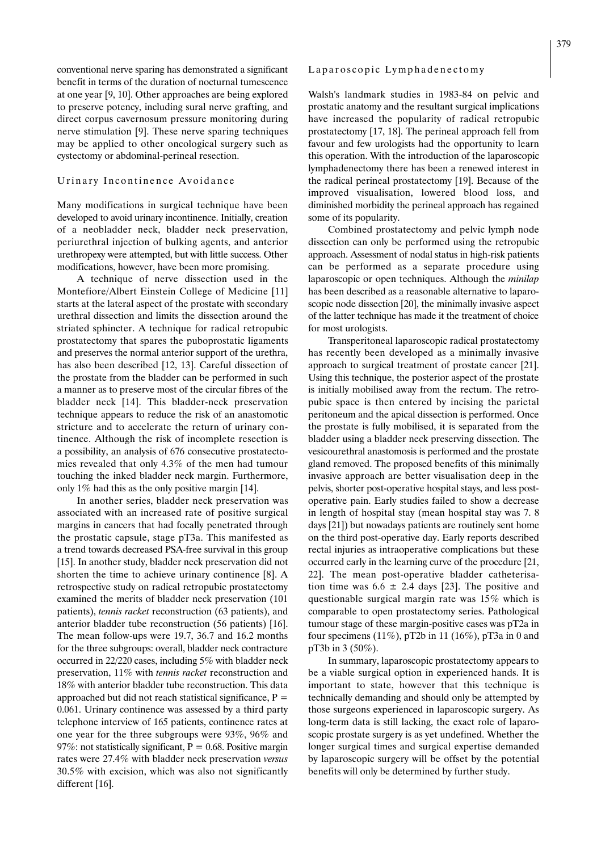conventional nerve sparing has demonstrated a significant benefit in terms of the duration of nocturnal tumescence at one year [9, 10]. Other approaches are being explored to preserve potency, including sural nerve grafting, and direct corpus cavernosum pressure monitoring during nerve stimulation [9]. These nerve sparing techniques may be applied to other oncological surgery such as cystectomy or abdominal-perineal resection.

#### Urinary Incontinence Avoidance

Many modifications in surgical technique have been developed to avoid urinary incontinence. Initially, creation of a neobladder neck, bladder neck preservation, periurethral injection of bulking agents, and anterior urethropexy were attempted, but with little success. Other modifications, however, have been more promising.

A technique of nerve dissection used in the Montefiore/Albert Einstein College of Medicine [11] starts at the lateral aspect of the prostate with secondary urethral dissection and limits the dissection around the striated sphincter. A technique for radical retropubic prostatectomy that spares the puboprostatic ligaments and preserves the normal anterior support of the urethra, has also been described [12, 13]. Careful dissection of the prostate from the bladder can be performed in such a manner as to preserve most of the circular fibres of the bladder neck [14]. This bladder-neck preservation technique appears to reduce the risk of an anastomotic stricture and to accelerate the return of urinary continence. Although the risk of incomplete resection is a possibility, an analysis of 676 consecutive prostatectomies revealed that only 4.3% of the men had tumour touching the inked bladder neck margin. Furthermore, only 1% had this as the only positive margin [14].

In another series, bladder neck preservation was associated with an increased rate of positive surgical margins in cancers that had focally penetrated through the prostatic capsule, stage pT3a. This manifested as a trend towards decreased PSA-free survival in this group [15]. In another study, bladder neck preservation did not shorten the time to achieve urinary continence [8]. A retrospective study on radical retropubic prostatectomy examined the merits of bladder neck preservation (101 patients), *tennis racket* reconstruction (63 patients), and anterior bladder tube reconstruction (56 patients) [16]. The mean follow-ups were 19.7, 36.7 and 16.2 months for the three subgroups: overall, bladder neck contracture occurred in 22/220 cases, including 5% with bladder neck preservation, 11% with *tennis racket* reconstruction and 18% with anterior bladder tube reconstruction. This data approached but did not reach statistical significance,  $P =$ 0.061. Urinary continence was assessed by a third party telephone interview of 165 patients, continence rates at one year for the three subgroups were 93%, 96% and 97%: not statistically significant,  $P = 0.68$ . Positive margin rates were 27.4% with bladder neck preservation *versus* 30.5% with excision, which was also not significantly different [16].

Walsh's landmark studies in 1983-84 on pelvic and prostatic anatomy and the resultant surgical implications have increased the popularity of radical retropubic prostatectomy [17, 18]. The perineal approach fell from favour and few urologists had the opportunity to learn this operation. With the introduction of the laparoscopic lymphadenectomy there has been a renewed interest in the radical perineal prostatectomy [19]. Because of the improved visualisation, lowered blood loss, and diminished morbidity the perineal approach has regained some of its popularity.

Combined prostatectomy and pelvic lymph node dissection can only be performed using the retropubic approach. Assessment of nodal status in high-risk patients can be performed as a separate procedure using laparoscopic or open techniques. Although the *minilap* has been described as a reasonable alternative to laparoscopic node dissection [20], the minimally invasive aspect of the latter technique has made it the treatment of choice for most urologists.

Transperitoneal laparoscopic radical prostatectomy has recently been developed as a minimally invasive approach to surgical treatment of prostate cancer [21]. Using this technique, the posterior aspect of the prostate is initially mobilised away from the rectum. The retropubic space is then entered by incising the parietal peritoneum and the apical dissection is performed. Once the prostate is fully mobilised, it is separated from the bladder using a bladder neck preserving dissection. The vesicourethral anastomosis is performed and the prostate gland removed. The proposed benefits of this minimally invasive approach are better visualisation deep in the pelvis, shorter post-operative hospital stays, and less postoperative pain. Early studies failed to show a decrease in length of hospital stay (mean hospital stay was 7. 8 days [21]) but nowadays patients are routinely sent home on the third post-operative day. Early reports described rectal injuries as intraoperative complications but these occurred early in the learning curve of the procedure [21, 22]. The mean post-operative bladder catheterisation time was  $6.6 \pm 2.4$  days [23]. The positive and questionable surgical margin rate was 15% which is comparable to open prostatectomy series. Pathological tumour stage of these margin-positive cases was pT2a in four specimens (11%), pT2b in 11 (16%), pT3a in 0 and pT3b in 3 (50%).

In summary, laparoscopic prostatectomy appears to be a viable surgical option in experienced hands. It is important to state, however that this technique is technically demanding and should only be attempted by those surgeons experienced in laparoscopic surgery. As long-term data is still lacking, the exact role of laparoscopic prostate surgery is as yet undefined. Whether the longer surgical times and surgical expertise demanded by laparoscopic surgery will be offset by the potential benefits will only be determined by further study.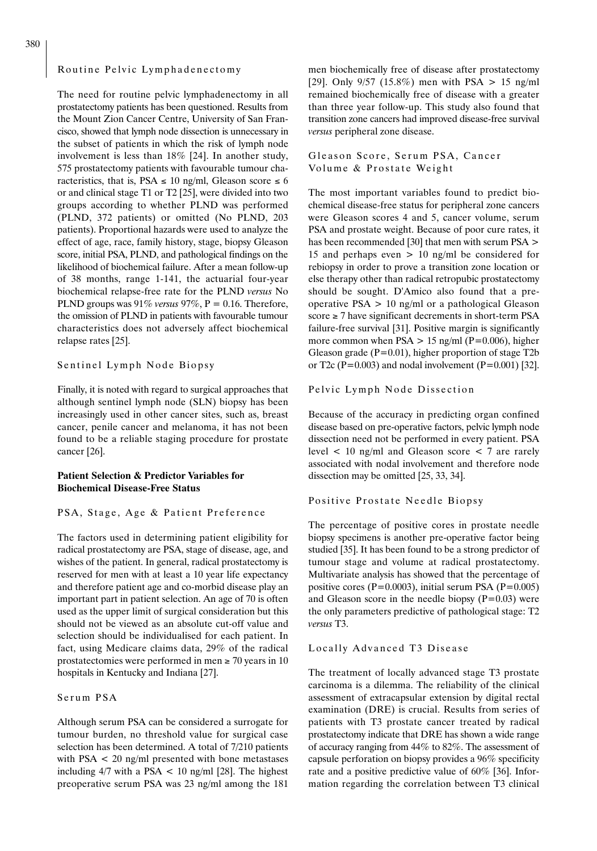## Routine Pelvic Lymphadenectomy

The need for routine pelvic lymphadenectomy in all prostatectomy patients has been questioned. Results from the Mount Zion Cancer Centre, University of San Francisco, showed that lymph node dissection is unnecessary in the subset of patients in which the risk of lymph node involvement is less than 18% [24]. In another study, 575 prostatectomy patients with favourable tumour characteristics, that is, PSA  $\leq$  10 ng/ml, Gleason score  $\leq$  6 or and clinical stage T1 or T2 [25], were divided into two groups according to whether PLND was performed (PLND, 372 patients) or omitted (No PLND, 203 patients). Proportional hazards were used to analyze the effect of age, race, family history, stage, biopsy Gleason score, initial PSA, PLND, and pathological findings on the likelihood of biochemical failure. After a mean follow-up of 38 months, range 1-141, the actuarial four-year biochemical relapse-free rate for the PLND *versus* No PLND groups was 91% *versus* 97%, P = 0.16. Therefore, the omission of PLND in patients with favourable tumour characteristics does not adversely affect biochemical relapse rates [25].

## Sentinel Lymph Node Biopsy

Finally, it is noted with regard to surgical approaches that although sentinel lymph node (SLN) biopsy has been increasingly used in other cancer sites, such as, breast cancer, penile cancer and melanoma, it has not been found to be a reliable staging procedure for prostate cancer [26].

## **Patient Selection & Predictor Variables for Biochemical Disease-Free Status**

#### PSA, Stage, Age & Patient Preference

The factors used in determining patient eligibility for radical prostatectomy are PSA, stage of disease, age, and wishes of the patient. In general, radical prostatectomy is reserved for men with at least a 10 year life expectancy and therefore patient age and co-morbid disease play an important part in patient selection. An age of 70 is often used as the upper limit of surgical consideration but this should not be viewed as an absolute cut-off value and selection should be individualised for each patient. In fact, using Medicare claims data, 29% of the radical prostatectomies were performed in men  $\geq$  70 years in 10 hospitals in Kentucky and Indiana [27].

## Serum PSA

Although serum PSA can be considered a surrogate for tumour burden, no threshold value for surgical case selection has been determined. A total of 7/210 patients with  $PSA < 20$  ng/ml presented with bone metastases including  $4/7$  with a PSA < 10 ng/ml [28]. The highest preoperative serum PSA was 23 ng/ml among the 181

men biochemically free of disease after prostatectomy [29]. Only 9/57 (15.8%) men with PSA > 15 ng/ml remained biochemically free of disease with a greater than three year follow-up. This study also found that transition zone cancers had improved disease-free survival *versus* peripheral zone disease.

## Gleason Score, Serum PSA, Cancer Volume & Prostate Weight

The most important variables found to predict biochemical disease-free status for peripheral zone cancers were Gleason scores 4 and 5, cancer volume, serum PSA and prostate weight. Because of poor cure rates, it has been recommended [30] that men with serum PSA > 15 and perhaps even > 10 ng/ml be considered for rebiopsy in order to prove a transition zone location or else therapy other than radical retropubic prostatectomy should be sought. D'Amico also found that a preoperative PSA > 10 ng/ml or a pathological Gleason score ≥ 7 have significant decrements in short-term PSA failure-free survival [31]. Positive margin is significantly more common when  $PSA > 15$  ng/ml (P=0.006), higher Gleason grade  $(P=0.01)$ , higher proportion of stage T2b or T2c (P=0.003) and nodal involvement (P=0.001) [32].

#### Pelvic Lymph Node Dissection

Because of the accuracy in predicting organ confined disease based on pre-operative factors, pelvic lymph node dissection need not be performed in every patient. PSA level < 10 ng/ml and Gleason score < 7 are rarely associated with nodal involvement and therefore node dissection may be omitted [25, 33, 34].

#### Positive Prostate Needle Biopsy

The percentage of positive cores in prostate needle biopsy specimens is another pre-operative factor being studied [35]. It has been found to be a strong predictor of tumour stage and volume at radical prostatectomy. Multivariate analysis has showed that the percentage of positive cores ( $P=0.0003$ ), initial serum PSA ( $P=0.005$ ) and Gleason score in the needle biopsy  $(P=0.03)$  were the only parameters predictive of pathological stage: T2 *versus* T3.

#### Locally Advanced T3 Disease

The treatment of locally advanced stage T3 prostate carcinoma is a dilemma. The reliability of the clinical assessment of extracapsular extension by digital rectal examination (DRE) is crucial. Results from series of patients with T3 prostate cancer treated by radical prostatectomy indicate that DRE has shown a wide range of accuracy ranging from 44% to 82%. The assessment of capsule perforation on biopsy provides a 96% specificity rate and a positive predictive value of 60% [36]. Information regarding the correlation between T3 clinical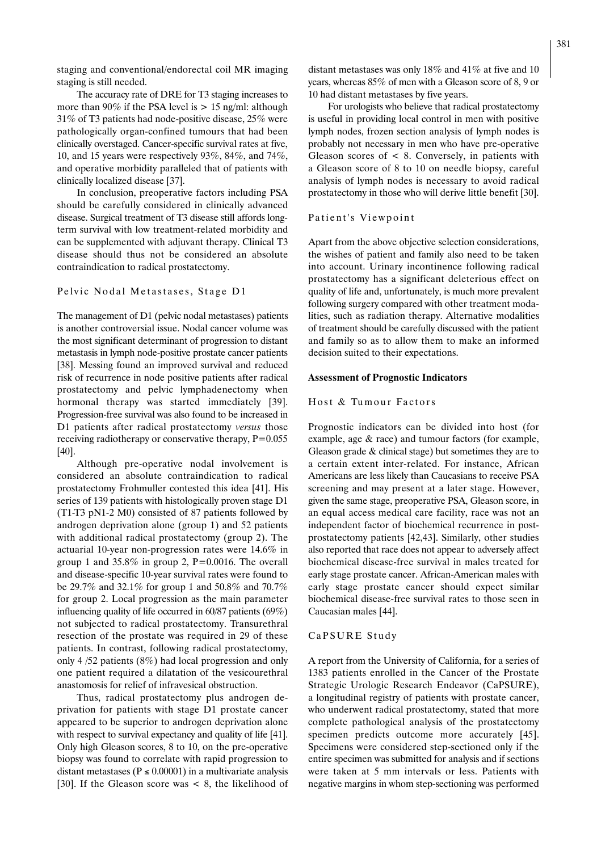staging and conventional/endorectal coil MR imaging staging is still needed.

The accuracy rate of DRE for T3 staging increases to more than 90% if the PSA level is  $> 15$  ng/ml: although 31% of T3 patients had node-positive disease, 25% were pathologically organ-confined tumours that had been clinically overstaged. Cancer-specific survival rates at five, 10, and 15 years were respectively 93%, 84%, and 74%, and operative morbidity paralleled that of patients with clinically localized disease [37].

In conclusion, preoperative factors including PSA should be carefully considered in clinically advanced disease. Surgical treatment of T3 disease still affords longterm survival with low treatment-related morbidity and can be supplemented with adjuvant therapy. Clinical T3 disease should thus not be considered an absolute contraindication to radical prostatectomy.

#### Pelvic Nodal Metastases, Stage D1

The management of D1 (pelvic nodal metastases) patients is another controversial issue. Nodal cancer volume was the most significant determinant of progression to distant metastasis in lymph node-positive prostate cancer patients [38]. Messing found an improved survival and reduced risk of recurrence in node positive patients after radical prostatectomy and pelvic lymphadenectomy when hormonal therapy was started immediately [39]. Progression-free survival was also found to be increased in D1 patients after radical prostatectomy *versus* those receiving radiotherapy or conservative therapy,  $P=0.055$ [40].

Although pre-operative nodal involvement is considered an absolute contraindication to radical prostatectomy Frohmuller contested this idea [41]. His series of 139 patients with histologically proven stage D1 (T1-T3 pN1-2 M0) consisted of 87 patients followed by androgen deprivation alone (group 1) and 52 patients with additional radical prostatectomy (group 2). The actuarial 10-year non-progression rates were 14.6% in group 1 and  $35.8\%$  in group 2, P=0.0016. The overall and disease-specific 10-year survival rates were found to be 29.7% and 32.1% for group 1 and 50.8% and 70.7% for group 2. Local progression as the main parameter influencing quality of life occurred in 60/87 patients (69%) not subjected to radical prostatectomy. Transurethral resection of the prostate was required in 29 of these patients. In contrast, following radical prostatectomy, only 4 /52 patients (8%) had local progression and only one patient required a dilatation of the vesicourethral anastomosis for relief of infravesical obstruction.

Thus, radical prostatectomy plus androgen deprivation for patients with stage D1 prostate cancer appeared to be superior to androgen deprivation alone with respect to survival expectancy and quality of life [41]. Only high Gleason scores, 8 to 10, on the pre-operative biopsy was found to correlate with rapid progression to distant metastases ( $P \le 0.00001$ ) in a multivariate analysis [30]. If the Gleason score was  $\lt$  8, the likelihood of distant metastases was only 18% and 41% at five and 10 years, whereas 85% of men with a Gleason score of 8, 9 or 10 had distant metastases by five years.

For urologists who believe that radical prostatectomy is useful in providing local control in men with positive lymph nodes, frozen section analysis of lymph nodes is probably not necessary in men who have pre-operative Gleason scores of  $\leq 8$ . Conversely, in patients with a Gleason score of 8 to 10 on needle biopsy, careful analysis of lymph nodes is necessary to avoid radical prostatectomy in those who will derive little benefit [30].

#### Patient's Viewpoint

Apart from the above objective selection considerations, the wishes of patient and family also need to be taken into account. Urinary incontinence following radical prostatectomy has a significant deleterious effect on quality of life and, unfortunately, is much more prevalent following surgery compared with other treatment modalities, such as radiation therapy. Alternative modalities of treatment should be carefully discussed with the patient and family so as to allow them to make an informed decision suited to their expectations.

#### **Assessment of Prognostic Indicators**

#### Host & Tumour Factors

Prognostic indicators can be divided into host (for example, age & race) and tumour factors (for example, Gleason grade  $\&$  clinical stage) but sometimes they are to a certain extent inter-related. For instance, African Americans are less likely than Caucasians to receive PSA screening and may present at a later stage. However, given the same stage, preoperative PSA, Gleason score, in an equal access medical care facility, race was not an independent factor of biochemical recurrence in postprostatectomy patients [42,43]. Similarly, other studies also reported that race does not appear to adversely affect biochemical disease-free survival in males treated for early stage prostate cancer. African-American males with early stage prostate cancer should expect similar biochemical disease-free survival rates to those seen in Caucasian males [44].

#### CaPSURE Study

A report from the University of California, for a series of 1383 patients enrolled in the Cancer of the Prostate Strategic Urologic Research Endeavor (CaPSURE), a longitudinal registry of patients with prostate cancer, who underwent radical prostatectomy, stated that more complete pathological analysis of the prostatectomy specimen predicts outcome more accurately [45]. Specimens were considered step-sectioned only if the entire specimen was submitted for analysis and if sections were taken at 5 mm intervals or less. Patients with negative margins in whom step-sectioning was performed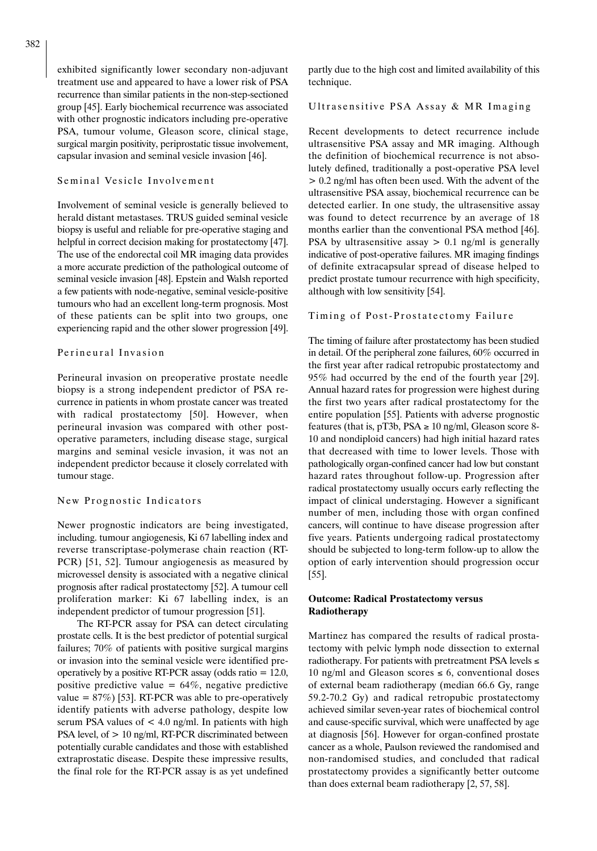exhibited significantly lower secondary non-adjuvant treatment use and appeared to have a lower risk of PSA recurrence than similar patients in the non-step-sectioned group [45]. Early biochemical recurrence was associated with other prognostic indicators including pre-operative PSA, tumour volume, Gleason score, clinical stage, surgical margin positivity, periprostatic tissue involvement, capsular invasion and seminal vesicle invasion [46].

#### Seminal Vesicle Involvement

Involvement of seminal vesicle is generally believed to herald distant metastases. TRUS guided seminal vesicle biopsy is useful and reliable for pre-operative staging and helpful in correct decision making for prostatectomy [47]. The use of the endorectal coil MR imaging data provides a more accurate prediction of the pathological outcome of seminal vesicle invasion [48]. Epstein and Walsh reported a few patients with node-negative, seminal vesicle-positive tumours who had an excellent long-term prognosis. Most of these patients can be split into two groups, one experiencing rapid and the other slower progression [49].

## Perineural Invasion

Perineural invasion on preoperative prostate needle biopsy is a strong independent predictor of PSA recurrence in patients in whom prostate cancer was treated with radical prostatectomy [50]. However, when perineural invasion was compared with other postoperative parameters, including disease stage, surgical margins and seminal vesicle invasion, it was not an independent predictor because it closely correlated with tumour stage.

#### New Prognostic Indicators

Newer prognostic indicators are being investigated, including. tumour angiogenesis, Ki 67 labelling index and reverse transcriptase-polymerase chain reaction (RT-PCR) [51, 52]. Tumour angiogenesis as measured by microvessel density is associated with a negative clinical prognosis after radical prostatectomy [52]. A tumour cell proliferation marker: Ki 67 labelling index, is an independent predictor of tumour progression [51].

The RT-PCR assay for PSA can detect circulating prostate cells. It is the best predictor of potential surgical failures; 70% of patients with positive surgical margins or invasion into the seminal vesicle were identified preoperatively by a positive RT-PCR assay (odds ratio = 12.0, positive predictive value =  $64\%$ , negative predictive value =  $87\%$ ) [53]. RT-PCR was able to pre-operatively identify patients with adverse pathology, despite low serum PSA values of < 4.0 ng/ml. In patients with high PSA level, of > 10 ng/ml, RT-PCR discriminated between potentially curable candidates and those with established extraprostatic disease. Despite these impressive results, the final role for the RT-PCR assay is as yet undefined partly due to the high cost and limited availability of this technique.

#### Ultrasensitive PSA Assay & MR Imaging

Recent developments to detect recurrence include ultrasensitive PSA assay and MR imaging. Although the definition of biochemical recurrence is not absolutely defined, traditionally a post-operative PSA level > 0.2 ng/ml has often been used. With the advent of the ultrasensitive PSA assay, biochemical recurrence can be detected earlier. In one study, the ultrasensitive assay was found to detect recurrence by an average of 18 months earlier than the conventional PSA method [46]. PSA by ultrasensitive assay  $> 0.1$  ng/ml is generally indicative of post-operative failures. MR imaging findings of definite extracapsular spread of disease helped to predict prostate tumour recurrence with high specificity, although with low sensitivity [54].

### Timing of Post-Prostatectomy Failure

The timing of failure after prostatectomy has been studied in detail. Of the peripheral zone failures, 60% occurred in the first year after radical retropubic prostatectomy and 95% had occurred by the end of the fourth year [29]. Annual hazard rates for progression were highest during the first two years after radical prostatectomy for the entire population [55]. Patients with adverse prognostic features (that is, pT3b, PSA  $\geq$  10 ng/ml, Gleason score 8-10 and nondiploid cancers) had high initial hazard rates that decreased with time to lower levels. Those with pathologically organ-confined cancer had low but constant hazard rates throughout follow-up. Progression after radical prostatectomy usually occurs early reflecting the impact of clinical understaging. However a significant number of men, including those with organ confined cancers, will continue to have disease progression after five years. Patients undergoing radical prostatectomy should be subjected to long-term follow-up to allow the option of early intervention should progression occur [55].

## **Outcome: Radical Prostatectomy versus Radiotherapy**

Martinez has compared the results of radical prostatectomy with pelvic lymph node dissection to external radiotherapy. For patients with pretreatment PSA levels  $\leq$ 10 ng/ml and Gleason scores  $\leq$  6, conventional doses of external beam radiotherapy (median 66.6 Gy, range 59.2-70.2 Gy) and radical retropubic prostatectomy achieved similar seven-year rates of biochemical control and cause-specific survival, which were unaffected by age at diagnosis [56]. However for organ-confined prostate cancer as a whole, Paulson reviewed the randomised and non-randomised studies, and concluded that radical prostatectomy provides a significantly better outcome than does external beam radiotherapy [2, 57, 58].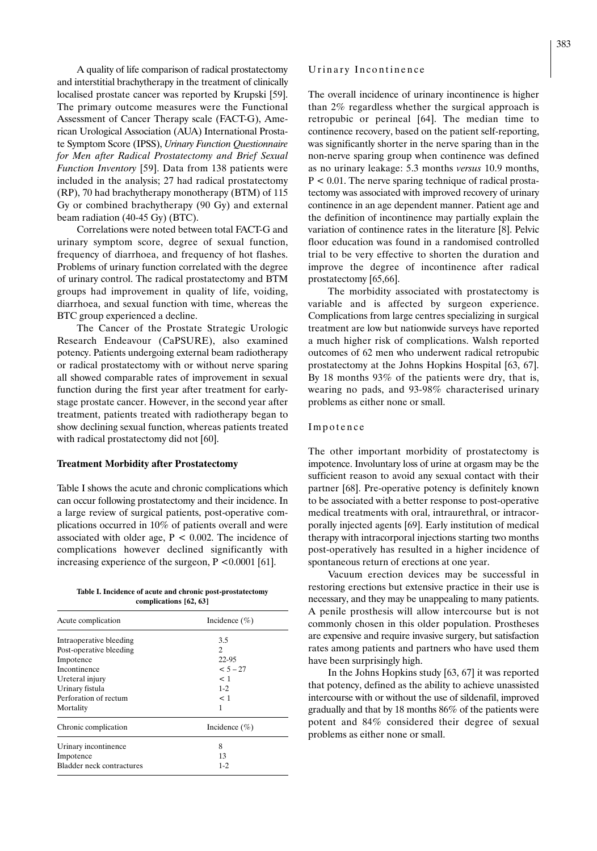A quality of life comparison of radical prostatectomy and interstitial brachytherapy in the treatment of clinically localised prostate cancer was reported by Krupski [59]. The primary outcome measures were the Functional Assessment of Cancer Therapy scale (FACT-G), American Urological Association (AUA) International Prostate Symptom Score (IPSS), *Urinary Function Questionnaire for Men after Radical Prostatectomy and Brief Sexual Function Inventory* [59]. Data from 138 patients were included in the analysis; 27 had radical prostatectomy (RP), 70 had brachytherapy monotherapy (BTM) of 115 Gy or combined brachytherapy (90 Gy) and external beam radiation (40-45 Gy) (BTC).

Correlations were noted between total FACT-G and urinary symptom score, degree of sexual function, frequency of diarrhoea, and frequency of hot flashes. Problems of urinary function correlated with the degree of urinary control. The radical prostatectomy and BTM groups had improvement in quality of life, voiding, diarrhoea, and sexual function with time, whereas the BTC group experienced a decline.

The Cancer of the Prostate Strategic Urologic Research Endeavour (CaPSURE), also examined potency. Patients undergoing external beam radiotherapy or radical prostatectomy with or without nerve sparing all showed comparable rates of improvement in sexual function during the first year after treatment for earlystage prostate cancer. However, in the second year after treatment, patients treated with radiotherapy began to show declining sexual function, whereas patients treated with radical prostatectomy did not [60].

#### **Treatment Morbidity after Prostatectomy**

Table I shows the acute and chronic complications which can occur following prostatectomy and their incidence. In a large review of surgical patients, post-operative complications occurred in 10% of patients overall and were associated with older age,  $P < 0.002$ . The incidence of complications however declined significantly with increasing experience of the surgeon, P <0.0001 [61].

**Table I. Incidence of acute and chronic post-prostatectomy complications [62, 63]**

| Acute complication        | Incidence $(\% )$ |
|---------------------------|-------------------|
| Intraoperative bleeding   | 3.5               |
| Post-operative bleeding   | 2                 |
| Impotence                 | 22-95             |
| Incontinence              | $< 5 - 27$        |
| Ureteral injury           | $<$ 1             |
| Urinary fistula           | $1 - 2$           |
| Perforation of rectum     | $<$ 1             |
| Mortality                 | 1                 |
| Chronic complication      | Incidence $(\% )$ |
| Urinary incontinence      | 8                 |
| Impotence                 | 13                |
| Bladder neck contractures | $1 - 2$           |

The overall incidence of urinary incontinence is higher than 2% regardless whether the surgical approach is retropubic or perineal [64]. The median time to continence recovery, based on the patient self-reporting, was significantly shorter in the nerve sparing than in the non-nerve sparing group when continence was defined as no urinary leakage: 5.3 months *versus* 10.9 months, P < 0.01. The nerve sparing technique of radical prostatectomy was associated with improved recovery of urinary continence in an age dependent manner. Patient age and the definition of incontinence may partially explain the variation of continence rates in the literature [8]. Pelvic floor education was found in a randomised controlled trial to be very effective to shorten the duration and improve the degree of incontinence after radical prostatectomy [65,66].

The morbidity associated with prostatectomy is variable and is affected by surgeon experience. Complications from large centres specializing in surgical treatment are low but nationwide surveys have reported a much higher risk of complications. Walsh reported outcomes of 62 men who underwent radical retropubic prostatectomy at the Johns Hopkins Hospital [63, 67]. By 18 months 93% of the patients were dry, that is, wearing no pads, and 93-98% characterised urinary problems as either none or small.

#### Impotence

The other important morbidity of prostatectomy is impotence. Involuntary loss of urine at orgasm may be the sufficient reason to avoid any sexual contact with their partner [68]. Pre-operative potency is definitely known to be associated with a better response to post-operative medical treatments with oral, intraurethral, or intracorporally injected agents [69]. Early institution of medical therapy with intracorporal injections starting two months post-operatively has resulted in a higher incidence of spontaneous return of erections at one year.

Vacuum erection devices may be successful in restoring erections but extensive practice in their use is necessary, and they may be unappealing to many patients. A penile prosthesis will allow intercourse but is not commonly chosen in this older population. Prostheses are expensive and require invasive surgery, but satisfaction rates among patients and partners who have used them have been surprisingly high.

In the Johns Hopkins study [63, 67] it was reported that potency, defined as the ability to achieve unassisted intercourse with or without the use of sildenafil, improved gradually and that by 18 months 86% of the patients were potent and 84% considered their degree of sexual problems as either none or small.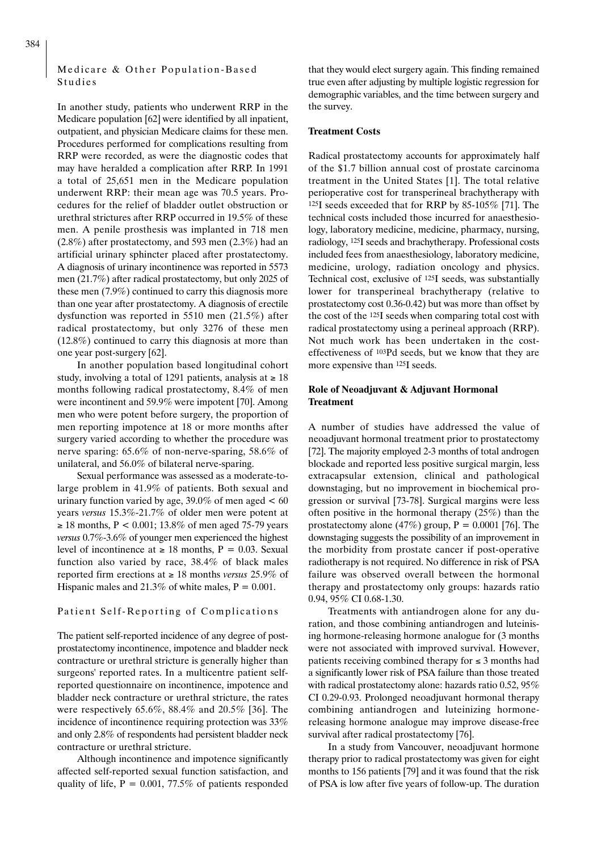## Medicare & Other Population-Based Studies

In another study, patients who underwent RRP in the Medicare population [62] were identified by all inpatient, outpatient, and physician Medicare claims for these men. Procedures performed for complications resulting from RRP were recorded, as were the diagnostic codes that may have heralded a complication after RRP. In 1991 a total of 25,651 men in the Medicare population underwent RRP: their mean age was 70.5 years. Procedures for the relief of bladder outlet obstruction or urethral strictures after RRP occurred in 19.5% of these men. A penile prosthesis was implanted in 718 men (2.8%) after prostatectomy, and 593 men (2.3%) had an artificial urinary sphincter placed after prostatectomy. A diagnosis of urinary incontinence was reported in 5573 men (21.7%) after radical prostatectomy, but only 2025 of these men (7.9%) continued to carry this diagnosis more than one year after prostatectomy. A diagnosis of erectile dysfunction was reported in 5510 men (21.5%) after radical prostatectomy, but only 3276 of these men (12.8%) continued to carry this diagnosis at more than one year post-surgery [62].

In another population based longitudinal cohort study, involving a total of 1291 patients, analysis at  $\geq 18$ months following radical prostatectomy, 8.4% of men were incontinent and 59.9% were impotent [70]. Among men who were potent before surgery, the proportion of men reporting impotence at 18 or more months after surgery varied according to whether the procedure was nerve sparing: 65.6% of non-nerve-sparing, 58.6% of unilateral, and 56.0% of bilateral nerve-sparing.

Sexual performance was assessed as a moderate-tolarge problem in 41.9% of patients. Both sexual and urinary function varied by age,  $39.0\%$  of men aged  $\lt 60$ years *versus* 15.3%-21.7% of older men were potent at ≥ 18 months, P < 0.001; 13.8% of men aged 75-79 years *versus* 0.7%-3.6% of younger men experienced the highest level of incontinence at  $\geq$  18 months, P = 0.03. Sexual function also varied by race, 38.4% of black males reported firm erections at ≥ 18 months *versus* 25.9% of Hispanic males and 21.3% of white males,  $P = 0.001$ .

## Patient Self-Reporting of Complications

The patient self-reported incidence of any degree of postprostatectomy incontinence, impotence and bladder neck contracture or urethral stricture is generally higher than surgeons' reported rates. In a multicentre patient selfreported questionnaire on incontinence, impotence and bladder neck contracture or urethral stricture, the rates were respectively 65.6%, 88.4% and 20.5% [36]. The incidence of incontinence requiring protection was 33% and only 2.8% of respondents had persistent bladder neck contracture or urethral stricture.

Although incontinence and impotence significantly affected self-reported sexual function satisfaction, and quality of life,  $P = 0.001, 77.5\%$  of patients responded that they would elect surgery again. This finding remained true even after adjusting by multiple logistic regression for demographic variables, and the time between surgery and the survey.

## **Treatment Costs**

Radical prostatectomy accounts for approximately half of the \$1.7 billion annual cost of prostate carcinoma treatment in the United States [1]. The total relative perioperative cost for transperineal brachytherapy with 125I seeds exceeded that for RRP by 85-105% [71]. The technical costs included those incurred for anaesthesiology, laboratory medicine, medicine, pharmacy, nursing, radiology, 125I seeds and brachytherapy. Professional costs included fees from anaesthesiology, laboratory medicine, medicine, urology, radiation oncology and physics. Technical cost, exclusive of 125I seeds, was substantially lower for transperineal brachytherapy (relative to prostatectomy cost 0.36-0.42) but was more than offset by the cost of the 125I seeds when comparing total cost with radical prostatectomy using a perineal approach (RRP). Not much work has been undertaken in the costeffectiveness of 103Pd seeds, but we know that they are more expensive than 125I seeds.

## **Role of Neoadjuvant & Adjuvant Hormonal Treatment**

A number of studies have addressed the value of neoadjuvant hormonal treatment prior to prostatectomy [72]. The majority employed 2-3 months of total androgen blockade and reported less positive surgical margin, less extracapsular extension, clinical and pathological downstaging, but no improvement in biochemical progression or survival [73-78]. Surgical margins were less often positive in the hormonal therapy (25%) than the prostatectomy alone (47%) group,  $P = 0.0001$  [76]. The downstaging suggests the possibility of an improvement in the morbidity from prostate cancer if post-operative radiotherapy is not required. No difference in risk of PSA failure was observed overall between the hormonal therapy and prostatectomy only groups: hazards ratio 0.94, 95% CI 0.68-1.30.

Treatments with antiandrogen alone for any duration, and those combining antiandrogen and luteinising hormone-releasing hormone analogue for (3 months were not associated with improved survival. However, patients receiving combined therapy for  $\leq$  3 months had a significantly lower risk of PSA failure than those treated with radical prostatectomy alone: hazards ratio 0.52, 95% CI 0.29-0.93. Prolonged neoadjuvant hormonal therapy combining antiandrogen and luteinizing hormonereleasing hormone analogue may improve disease-free survival after radical prostatectomy [76].

In a study from Vancouver, neoadjuvant hormone therapy prior to radical prostatectomy was given for eight months to 156 patients [79] and it was found that the risk of PSA is low after five years of follow-up. The duration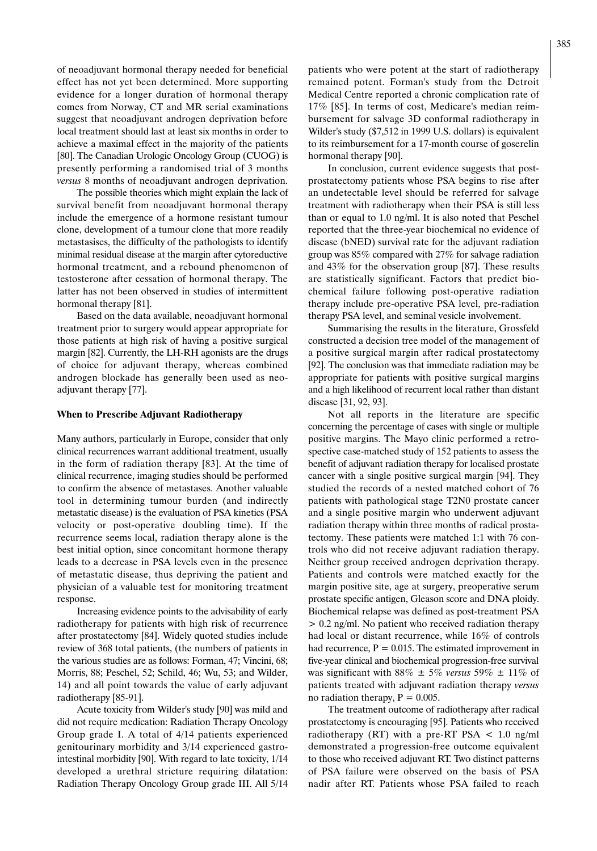of neoadjuvant hormonal therapy needed for beneficial effect has not yet been determined. More supporting evidence for a longer duration of hormonal therapy comes from Norway, CT and MR serial examinations suggest that neoadjuvant androgen deprivation before local treatment should last at least six months in order to achieve a maximal effect in the majority of the patients [80]. The Canadian Urologic Oncology Group (CUOG) is presently performing a randomised trial of 3 months *versus* 8 months of neoadjuvant androgen deprivation.

The possible theories which might explain the lack of survival benefit from neoadjuvant hormonal therapy include the emergence of a hormone resistant tumour clone, development of a tumour clone that more readily metastasises, the difficulty of the pathologists to identify minimal residual disease at the margin after cytoreductive hormonal treatment, and a rebound phenomenon of testosterone after cessation of hormonal therapy. The latter has not been observed in studies of intermittent hormonal therapy [81].

Based on the data available, neoadjuvant hormonal treatment prior to surgery would appear appropriate for those patients at high risk of having a positive surgical margin [82]. Currently, the LH-RH agonists are the drugs of choice for adjuvant therapy, whereas combined androgen blockade has generally been used as neoadjuvant therapy [77].

#### **When to Prescribe Adjuvant Radiotherapy**

Many authors, particularly in Europe, consider that only clinical recurrences warrant additional treatment, usually in the form of radiation therapy [83]. At the time of clinical recurrence, imaging studies should be performed to confirm the absence of metastases. Another valuable tool in determining tumour burden (and indirectly metastatic disease) is the evaluation of PSA kinetics (PSA velocity or post-operative doubling time). If the recurrence seems local, radiation therapy alone is the best initial option, since concomitant hormone therapy leads to a decrease in PSA levels even in the presence of metastatic disease, thus depriving the patient and physician of a valuable test for monitoring treatment response.

Increasing evidence points to the advisability of early radiotherapy for patients with high risk of recurrence after prostatectomy [84]. Widely quoted studies include review of 368 total patients, (the numbers of patients in the various studies are as follows: Forman, 47; Vincini, 68; Morris, 88; Peschel, 52; Schild, 46; Wu, 53; and Wilder, 14) and all point towards the value of early adjuvant radiotherapy [85-91].

Acute toxicity from Wilder's study [90] was mild and did not require medication: Radiation Therapy Oncology Group grade I. A total of 4/14 patients experienced genitourinary morbidity and 3/14 experienced gastrointestinal morbidity [90]. With regard to late toxicity, 1/14 developed a urethral stricture requiring dilatation: Radiation Therapy Oncology Group grade III. All 5/14

patients who were potent at the start of radiotherapy remained potent. Forman's study from the Detroit Medical Centre reported a chronic complication rate of 17% [85]. In terms of cost, Medicare's median reimbursement for salvage 3D conformal radiotherapy in Wilder's study (\$7,512 in 1999 U.S. dollars) is equivalent to its reimbursement for a 17-month course of goserelin hormonal therapy [90].

In conclusion, current evidence suggests that postprostatectomy patients whose PSA begins to rise after an undetectable level should be referred for salvage treatment with radiotherapy when their PSA is still less than or equal to 1.0 ng/ml. It is also noted that Peschel reported that the three-year biochemical no evidence of disease (bNED) survival rate for the adjuvant radiation group was 85% compared with 27% for salvage radiation and 43% for the observation group [87]. These results are statistically significant. Factors that predict biochemical failure following post-operative radiation therapy include pre-operative PSA level, pre-radiation therapy PSA level, and seminal vesicle involvement.

Summarising the results in the literature, Grossfeld constructed a decision tree model of the management of a positive surgical margin after radical prostatectomy [92]. The conclusion was that immediate radiation may be appropriate for patients with positive surgical margins and a high likelihood of recurrent local rather than distant disease [31, 92, 93].

Not all reports in the literature are specific concerning the percentage of cases with single or multiple positive margins. The Mayo clinic performed a retrospective case-matched study of 152 patients to assess the benefit of adjuvant radiation therapy for localised prostate cancer with a single positive surgical margin [94]. They studied the records of a nested matched cohort of 76 patients with pathological stage T2N0 prostate cancer and a single positive margin who underwent adjuvant radiation therapy within three months of radical prostatectomy. These patients were matched 1:1 with 76 controls who did not receive adjuvant radiation therapy. Neither group received androgen deprivation therapy. Patients and controls were matched exactly for the margin positive site, age at surgery, preoperative serum prostate specific antigen, Gleason score and DNA ploidy. Biochemical relapse was defined as post-treatment PSA > 0.2 ng/ml. No patient who received radiation therapy had local or distant recurrence, while 16% of controls had recurrence,  $P = 0.015$ . The estimated improvement in five-year clinical and biochemical progression-free survival was significant with 88% ± 5% *versus* 59% ± 11% of patients treated with adjuvant radiation therapy *versus* no radiation therapy,  $P = 0.005$ .

The treatment outcome of radiotherapy after radical prostatectomy is encouraging [95]. Patients who received radiotherapy (RT) with a pre-RT PSA  $< 1.0$  ng/ml demonstrated a progression-free outcome equivalent to those who received adjuvant RT. Two distinct patterns of PSA failure were observed on the basis of PSA nadir after RT. Patients whose PSA failed to reach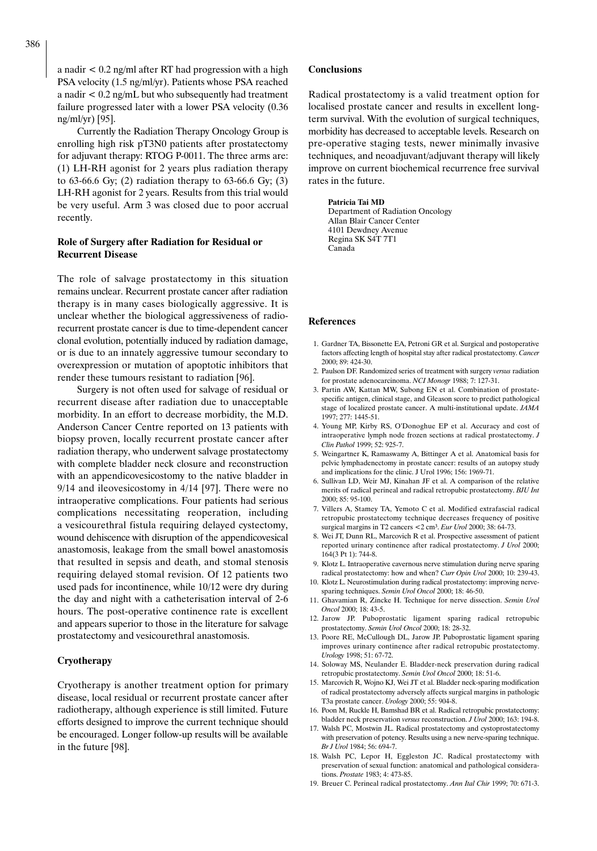a nadir  $\lt$  0.2 ng/ml after RT had progression with a high PSA velocity (1.5 ng/ml/yr). Patients whose PSA reached a nadir < 0.2 ng/mL but who subsequently had treatment failure progressed later with a lower PSA velocity (0.36 ng/ml/yr) [95].

Currently the Radiation Therapy Oncology Group is enrolling high risk pT3N0 patients after prostatectomy for adjuvant therapy: RTOG P-0011. The three arms are: (1) LH-RH agonist for 2 years plus radiation therapy to 63-66.6 Gy; (2) radiation therapy to 63-66.6 Gy; (3) LH-RH agonist for 2 years. Results from this trial would be very useful. Arm 3 was closed due to poor accrual recently.

## **Role of Surgery after Radiation for Residual or Recurrent Disease**

The role of salvage prostatectomy in this situation remains unclear. Recurrent prostate cancer after radiation therapy is in many cases biologically aggressive. It is unclear whether the biological aggressiveness of radiorecurrent prostate cancer is due to time-dependent cancer clonal evolution, potentially induced by radiation damage, or is due to an innately aggressive tumour secondary to overexpression or mutation of apoptotic inhibitors that render these tumours resistant to radiation [96].

Surgery is not often used for salvage of residual or recurrent disease after radiation due to unacceptable morbidity. In an effort to decrease morbidity, the M.D. Anderson Cancer Centre reported on 13 patients with biopsy proven, locally recurrent prostate cancer after radiation therapy, who underwent salvage prostatectomy with complete bladder neck closure and reconstruction with an appendicovesicostomy to the native bladder in 9/14 and ileovesicostomy in 4/14 [97]. There were no intraoperative complications. Four patients had serious complications necessitating reoperation, including a vesicourethral fistula requiring delayed cystectomy, wound dehiscence with disruption of the appendicovesical anastomosis, leakage from the small bowel anastomosis that resulted in sepsis and death, and stomal stenosis requiring delayed stomal revision. Of 12 patients two used pads for incontinence, while 10/12 were dry during the day and night with a catheterisation interval of 2-6 hours. The post-operative continence rate is excellent and appears superior to those in the literature for salvage prostatectomy and vesicourethral anastomosis.

## **Cryotherapy**

Cryotherapy is another treatment option for primary disease, local residual or recurrent prostate cancer after radiotherapy, although experience is still limited. Future efforts designed to improve the current technique should be encouraged. Longer follow-up results will be available in the future [98].

## **Conclusions**

Radical prostatectomy is a valid treatment option for localised prostate cancer and results in excellent longterm survival. With the evolution of surgical techniques, morbidity has decreased to acceptable levels. Research on pre-operative staging tests, newer minimally invasive techniques, and neoadjuvant/adjuvant therapy will likely improve on current biochemical recurrence free survival rates in the future.

#### **Patricia Tai MD**

Department of Radiation Oncology Allan Blair Cancer Center 4101 Dewdney Avenue Regina SK S4T 7T1 Canada

#### **References**

- 1. Gardner TA, Bissonette EA, Petroni GR et al. Surgical and postoperative factors affecting length of hospital stay after radical prostatectomy. *Cancer* 2000; 89: 424-30.
- 2. Paulson DF. Randomized series of treatment with surgery *versus* radiation for prostate adenocarcinoma. *NCI Monogr* 1988; 7: 127-31.
- 3. Partin AW, Kattan MW, Subong EN et al. Combination of prostatespecific antigen, clinical stage, and Gleason score to predict pathological stage of localized prostate cancer. A multi-institutional update. *JAMA* 1997; 277: 1445-51.
- 4. Young MP, Kirby RS, O'Donoghue EP et al. Accuracy and cost of intraoperative lymph node frozen sections at radical prostatectomy. *J Clin Pathol* 1999; 52: 925-7.
- 5. Weingartner K, Ramaswamy A, Bittinger A et al. Anatomical basis for pelvic lymphadenectomy in prostate cancer: results of an autopsy study and implications for the clinic. J Urol 1996; 156: 1969-71.
- 6. Sullivan LD, Weir MJ, Kinahan JF et al. A comparison of the relative merits of radical perineal and radical retropubic prostatectomy. *BJU Int* 2000; 85: 95-100.
- 7. Villers A, Stamey TA, Yemoto C et al. Modified extrafascial radical retropubic prostatectomy technique decreases frequency of positive surgical margins in T2 cancers <2 cm3. *Eur Urol* 2000; 38: 64-73.
- 8. Wei JT, Dunn RL, Marcovich R et al. Prospective assessment of patient reported urinary continence after radical prostatectomy. *J Urol* 2000; 164(3 Pt 1): 744-8.
- 9. Klotz L. Intraoperative cavernous nerve stimulation during nerve sparing radical prostatectomy: how and when? *Curr Opin Urol* 2000; 10: 239-43.
- 10. Klotz L. Neurostimulation during radical prostatectomy: improving nervesparing techniques. *Semin Urol Oncol* 2000; 18: 46-50.
- 11. Ghavamian R, Zincke H. Technique for nerve dissection. *Semin Urol Oncol* 2000; 18: 43-5.
- 12. Jarow JP. Puboprostatic ligament sparing radical retropubic prostatectomy. *Semin Urol Oncol* 2000; 18: 28-32.
- 13. Poore RE, McCullough DL, Jarow JP. Puboprostatic ligament sparing improves urinary continence after radical retropubic prostatectomy. *Urology* 1998; 51: 67-72.
- 14. Soloway MS, Neulander E. Bladder-neck preservation during radical retropubic prostatectomy. *Semin Urol Oncol* 2000; 18: 51-6.
- 15. Marcovich R, Wojno KJ, Wei JT et al. Bladder neck-sparing modification of radical prostatectomy adversely affects surgical margins in pathologic T3a prostate cancer. *Urology* 2000; 55: 904-8.
- 16. Poon M, Ruckle H, Bamshad BR et al. Radical retropubic prostatectomy: bladder neck preservation *versus* reconstruction. *J Urol* 2000; 163: 194-8.
- 17. Walsh PC, Mostwin JL. Radical prostatectomy and cystoprostatectomy with preservation of potency. Results using a new nerve-sparing technique. *Br J Urol* 1984; 56: 694-7.
- 18. Walsh PC, Lepor H, Eggleston JC. Radical prostatectomy with preservation of sexual function: anatomical and pathological considerations. *Prostate* 1983; 4: 473-85.
- 19. Breuer C. Perineal radical prostatectomy. *Ann Ital Chir* 1999; 70: 671-3.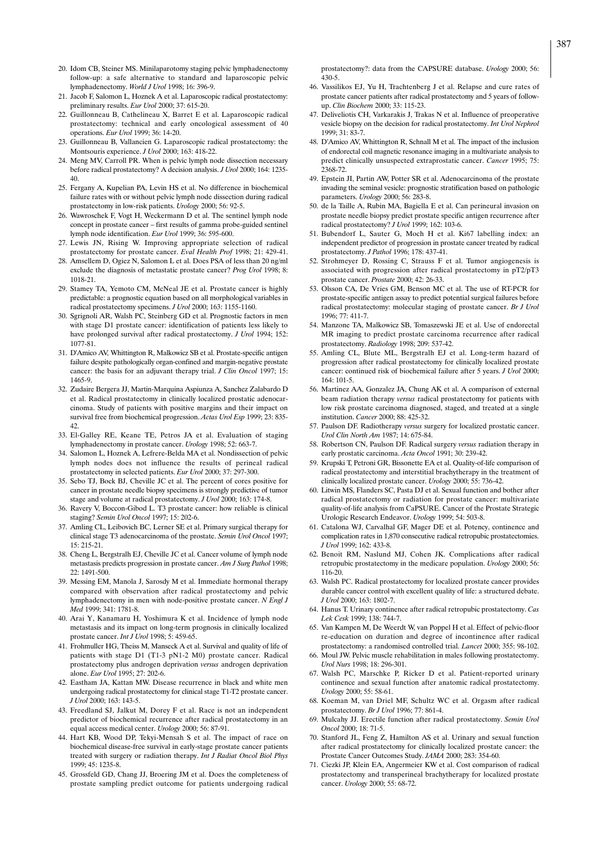- 20. Idom CB, Steiner MS. Minilaparotomy staging pelvic lymphadenectomy follow-up: a safe alternative to standard and laparoscopic pelvic lymphadenectomy. *World J Urol* 1998; 16: 396-9.
- 21. Jacob F, Salomon L, Hoznek A et al. Laparoscopic radical prostatectomy: preliminary results. *Eur Urol* 2000; 37: 615-20.
- 22. Guillonneau B, Cathelineau X, Barret E et al. Laparoscopic radical prostatectomy: technical and early oncological assessment of 40 operations. *Eur Urol* 1999; 36: 14-20.
- 23. Guillonneau B, Vallancien G. Laparoscopic radical prostatectomy: the Montsouris experience. *J Urol* 2000; 163: 418-22.
- 24. Meng MV, Carroll PR. When is pelvic lymph node dissection necessary before radical prostatectomy? A decision analysis. *J Urol* 2000; 164: 1235- 40.
- 25. Fergany A, Kupelian PA, Levin HS et al. No difference in biochemical failure rates with or without pelvic lymph node dissection during radical prostatectomy in low-risk patients. *Urology* 2000; 56: 92-5.
- 26. Wawroschek F, Vogt H, Weckermann D et al. The sentinel lymph node concept in prostate cancer – first results of gamma probe-guided sentinel lymph node identification. *Eur Urol* 1999; 36: 595-600.
- 27. Lewis JN, Rising W. Improving appropriate selection of radical prostatectomy for prostate cancer. *Eval Health Prof* 1998; 21: 429-41.
- 28. Amsellem D, Ogiez N, Salomon L et al. Does PSA of less than 20 ng/ml exclude the diagnosis of metastatic prostate cancer? *Prog Urol* 1998; 8: 1018-21.
- 29. Stamey TA, Yemoto CM, McNeal JE et al. Prostate cancer is highly predictable: a prognostic equation based on all morphological variables in radical prostatectomy specimens. *J Urol* 2000; 163: 1155-1160.
- 30. Sgrignoli AR, Walsh PC, Steinberg GD et al. Prognostic factors in men with stage D1 prostate cancer: identification of patients less likely to have prolonged survival after radical prostatectomy. *J Urol* 1994; 152: 1077-81.
- 31. D'Amico AV, Whittington R, Malkowicz SB et al. Prostate-specific antigen failure despite pathologically organ-confined and margin-negative prostate cancer: the basis for an adjuvant therapy trial. *J Clin Oncol* 1997; 15: 1465-9.
- 32. Zudaire Bergera JJ, Martin-Marquina Aspiunza A, Sanchez Zalabardo D et al. Radical prostatectomy in clinically localized prostatic adenocarcinoma. Study of patients with positive margins and their impact on survival free from biochemical progression. *Actas Urol Esp* 1999; 23: 835- 42.
- 33. El-Galley RE, Keane TE, Petros JA et al. Evaluation of staging lymphadenectomy in prostate cancer. *Urology* 1998; 52: 663-7.
- 34. Salomon L, Hoznek A, Lefrere-Belda MA et al. Nondissection of pelvic lymph nodes does not influence the results of perineal radical prostatectomy in selected patients. *Eur Urol* 2000; 37: 297-300.
- 35. Sebo TJ, Bock BJ, Cheville JC et al. The percent of cores positive for cancer in prostate needle biopsy specimens is strongly predictive of tumor stage and volume at radical prostatectomy. *J Urol* 2000; 163: 174-8.
- 36. Ravery V, Boccon-Gibod L. T3 prostate cancer: how reliable is clinical staging? *Semin Urol Oncol* 1997; 15: 202-6.
- 37. Amling CL, Leibovich BC, Lerner SE et al. Primary surgical therapy for clinical stage T3 adenocarcinoma of the prostate. *Semin Urol Oncol* 1997; 15: 215-21.
- 38. Cheng L, Bergstralh EJ, Cheville JC et al. Cancer volume of lymph node metastasis predicts progression in prostate cancer. *Am J Surg Pathol* 1998; 22: 1491-500.
- 39. Messing EM, Manola J, Sarosdy M et al. Immediate hormonal therapy compared with observation after radical prostatectomy and pelvic lymphadenectomy in men with node-positive prostate cancer. *N Engl J Med* 1999; 341: 1781-8.
- 40. Arai Y, Kanamaru H, Yoshimura K et al. Incidence of lymph node metastasis and its impact on long-term prognosis in clinically localized prostate cancer. *Int J Urol* 1998; 5: 459-65.
- 41. Frohmuller HG, Theiss M, Manseck A et al. Survival and quality of life of patients with stage D1 (T1-3 pN1-2 M0) prostate cancer. Radical prostatectomy plus androgen deprivation *versus* androgen deprivation alone. *Eur Urol* 1995; 27: 202-6.
- 42. Eastham JA, Kattan MW. Disease recurrence in black and white men undergoing radical prostatectomy for clinical stage T1-T2 prostate cancer. *J Urol* 2000; 163: 143-5.
- 43. Freedland SJ, Jalkut M, Dorey F et al. Race is not an independent predictor of biochemical recurrence after radical prostatectomy in an equal access medical center. *Urology* 2000; 56: 87-91.
- 44. Hart KB, Wood DP, Tekyi-Mensah S et al. The impact of race on biochemical disease-free survival in early-stage prostate cancer patients treated with surgery or radiation therapy. *Int J Radiat Oncol Biol Phys* 1999; 45: 1235-8.
- 45. Grossfeld GD, Chang JJ, Broering JM et al. Does the completeness of prostate sampling predict outcome for patients undergoing radical

prostatectomy?: data from the CAPSURE database. *Urology* 2000; 56: 430-5.

- 46. Vassilikos EJ, Yu H, Trachtenberg J et al. Relapse and cure rates of prostate cancer patients after radical prostatectomy and 5 years of followup. *Clin Biochem* 2000; 33: 115-23.
- 47. Deliveliotis CH, Varkarakis J, Trakas N et al. Influence of preoperative vesicle biopsy on the decision for radical prostatectomy. *Int Urol Nephrol* 1999; 31: 83-7.
- 48. D'Amico AV, Whittington R, Schnall M et al. The impact of the inclusion of endorectal coil magnetic resonance imaging in a multivariate analysis to predict clinically unsuspected extraprostatic cancer. *Cancer* 1995; 75: 2368-72.
- 49. Epstein JI, Partin AW, Potter SR et al. Adenocarcinoma of the prostate invading the seminal vesicle: prognostic stratification based on pathologic parameters. *Urology* 2000; 56: 283-8.
- 50. de la Taille A, Rubin MA, Bagiella E et al. Can perineural invasion on prostate needle biopsy predict prostate specific antigen recurrence after radical prostatectomy? *J Urol* 1999; 162: 103-6.
- 51. Bubendorf L, Sauter G, Moch H et al. Ki67 labelling index: an independent predictor of progression in prostate cancer treated by radical prostatectomy. *J Pathol* 1996; 178: 437-41.
- 52. Strohmeyer D, Rossing C, Strauss F et al. Tumor angiogenesis is associated with progression after radical prostatectomy in pT2/pT3 prostate cancer. *Prostate* 2000; 42: 26-33.
- 53. Olsson CA, De Vries GM, Benson MC et al. The use of RT-PCR for prostate-specific antigen assay to predict potential surgical failures before radical prostatectomy: molecular staging of prostate cancer. *Br J Urol* 1996; 77: 411-7.
- 54. Manzone TA, Malkowicz SB, Tomaszewski JE et al. Use of endorectal MR imaging to predict prostate carcinoma recurrence after radical prostatectomy. *Radiology* 1998; 209: 537-42.
- 55. Amling CL, Blute ML, Bergstralh EJ et al. Long-term hazard of progression after radical prostatectomy for clinically localized prostate cancer: continued risk of biochemical failure after 5 years. *J Urol* 2000; 164: 101-5.
- 56. Martinez AA, Gonzalez JA, Chung AK et al. A comparison of external beam radiation therapy *versus* radical prostatectomy for patients with low risk prostate carcinoma diagnosed, staged, and treated at a single institution. *Cancer* 2000; 88: 425-32.
- 57. Paulson DF. Radiotherapy *versus* surgery for localized prostatic cancer. *Urol Clin North Am* 1987; 14: 675-84.
- 58. Robertson CN, Paulson DF. Radical surgery *versus* radiation therapy in early prostatic carcinoma. *Acta Oncol* 1991; 30: 239-42.
- 59. Krupski T, Petroni GR, Bissonette EA et al. Quality-of-life comparison of radical prostatectomy and interstitial brachytherapy in the treatment of clinically localized prostate cancer. *Urology* 2000; 55: 736-42.
- 60. Litwin MS, Flanders SC, Pasta DJ et al. Sexual function and bother after radical prostatectomy or radiation for prostate cancer: multivariate quality-of-life analysis from CaPSURE. Cancer of the Prostate Strategic Urologic Research Endeavor. *Urology* 1999; 54: 503-8.
- 61. Catalona WJ, Carvalhal GF, Mager DE et al. Potency, continence and complication rates in 1,870 consecutive radical retropubic prostatectomies. *J Urol* 1999; 162: 433-8.
- 62. Benoit RM, Naslund MJ, Cohen JK. Complications after radical retropubic prostatectomy in the medicare population. *Urology* 2000; 56: 116-20.
- 63. Walsh PC. Radical prostatectomy for localized prostate cancer provides durable cancer control with excellent quality of life: a structured debate. *J Urol* 2000; 163: 1802-7.
- 64. Hanus T. Urinary continence after radical retropubic prostatectomy. *Cas Lek Cesk* 1999; 138: 744-7.
- 65. Van Kampen M, De Weerdt W, van Poppel H et al. Effect of pelvic-floor re-education on duration and degree of incontinence after radical prostatectomy: a randomised controlled trial. *Lancet* 2000; 355: 98-102.
- 66. Moul JW. Pelvic muscle rehabilitation in males following prostatectomy. *Urol Nurs* 1998; 18: 296-301.
- 67. Walsh PC, Marschke P, Ricker D et al. Patient-reported urinary continence and sexual function after anatomic radical prostatectomy. *Urology* 2000; 55: 58-61.
- 68. Koeman M, van Driel MF, Schultz WC et al. Orgasm after radical prostatectomy. *Br J Urol* 1996; 77: 861-4.
- 69. Mulcahy JJ. Erectile function after radical prostatectomy. *Semin Urol Oncol* 2000; 18: 71-5.
- 70. Stanford JL, Feng Z, Hamilton AS et al. Urinary and sexual function after radical prostatectomy for clinically localized prostate cancer: the Prostate Cancer Outcomes Study. *JAMA* 2000; 283: 354-60.
- 71. Ciezki JP, Klein EA, Angermeier KW et al. Cost comparison of radical prostatectomy and transperineal brachytherapy for localized prostate cancer. *Urology* 2000; 55: 68-72.